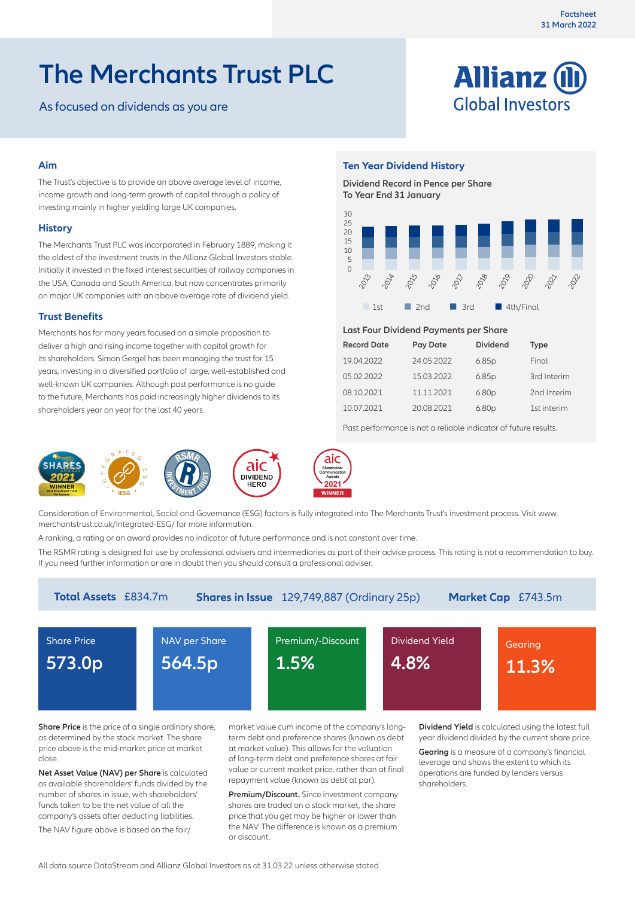# **The Merchants Trust PLC**

As focused on dividends as you are



# **Aim**

The Trust's objective is to provide an above average level of income, income growth and long-term growth of capital through a policy of investing mainly in higher yielding large UK companies.

#### **History**

The Merchants Trust PLC was incorporated in February 1889, making it the oldest of the investment trusts in the Allianz Global Investors stable. Initially it invested in the fixed interest securities of railway companies in the USA, Canada and South America, but now concentrates primarily on major UK companies with an above average rate of dividend yield.

# **Trust Benefits**

Merchants has for many years focused on a simple proposition to deliver a high and rising income together with capital growth for its shareholders. Simon Gergel has been managing the trust for 15 years, investing in a diversified portfolio of large, well-established and well-known UK companies. Although past performance is no guide to the future, Merchants has paid increasingly higher dividends to its shareholders year on year for the last 40 years.

# **Ten Year Dividend History**

**Dividend Record in Pence per Share To Year End 31 January**



#### **Last Four Dividend Payments per Share**

| <b>Record Date</b> | Pay Date   | <b>Dividend</b>   | <b>Type</b> |
|--------------------|------------|-------------------|-------------|
| 19.04.2022         | 24.05.2022 | 6.85p             | Final       |
| 05.02.2022         | 15.03.2022 | 6.85p             | 3rd Interim |
| 08.10.2021         | 11.11.2021 | 6.80 <sub>p</sub> | 2nd Interim |
| 10.07.2021         | 20.08.2021 | 6.80 <sub>p</sub> | 1st interim |

Past performance is not a reliable indicator of future results.



Consideration of Environmental, Social and Governance (ESG) factors is fully integrated into The Merchants Trust's investment process. Visit www. merchantstrust.co.uk/Integrated-ESG/ for more information.

A ranking, a rating or an award provides no indicator of future performance and is not constant over time.

The RSMR rating is designed for use by professional advisers and intermediaries as part of their advice process. This rating is not a recommendation to buy. If you need further information or are in doubt then you should consult a professional adviser.

| <b>Total Assets</b> £834.7m<br><b>Shares in Issue</b> 129,749,887 (Ordinary 25p)<br>Market Cap £743.5m |                    |                   |                |         |  |
|--------------------------------------------------------------------------------------------------------|--------------------|-------------------|----------------|---------|--|
| <b>Share Price</b>                                                                                     | NAV per Share      | Premium/-Discount | Dividend Yield | Gearing |  |
| 573.0p                                                                                                 | 564.5 <sub>p</sub> | 1.5%              | 4.8%           | 11.3%   |  |
|                                                                                                        |                    |                   |                |         |  |

**Share Price** is the price of a single ordinary share, as determined by the stock market. The share price above is the mid-market price at market close.

**Net Asset Value (NAV) per Share** is calculated as available shareholders' funds divided by the number of shares in issue, with shareholders' funds taken to be the net value of all the company's assets after deducting liabilities.

The NAV figure above is based on the fair/

market value cum income of the company's longterm debt and preference shares (known as debt at market value). This allows for the valuation of long-term debt and preference shares at fair value or current market price, rather than at final repayment value (known as debt at par).

**Premium/Discount.** Since investment company shares are traded on a stock market, the share price that you get may be higher or lower than the NAV. The difference is known as a premium or discount.

**Dividend Yield** is calculated using the latest full year dividend divided by the current share price.

**Gearing** is a measure of a company's financial leverage and shows the extent to which its operations are funded by lenders versus shareholders.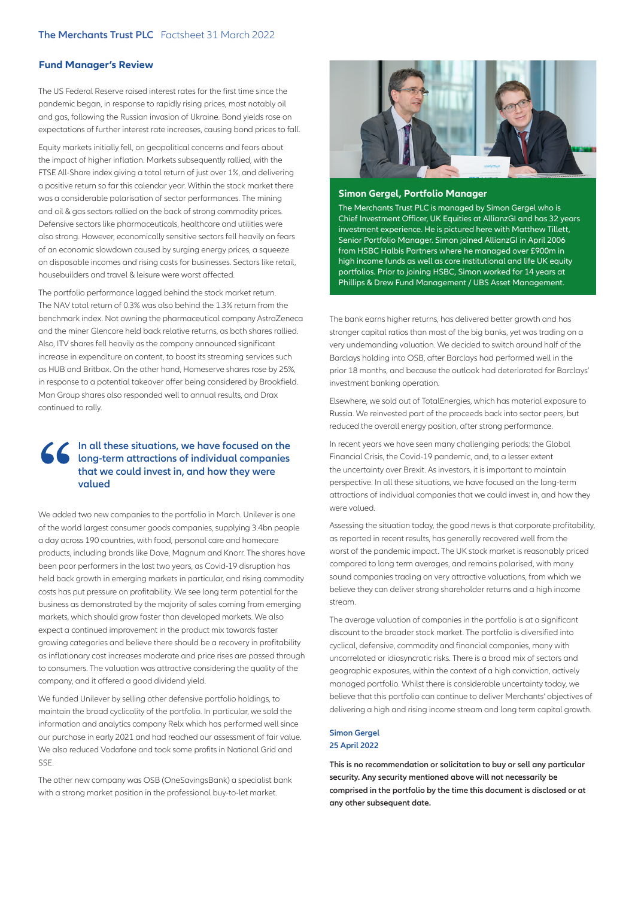### **Fund Manager's Review**

The US Federal Reserve raised interest rates for the first time since the pandemic began, in response to rapidly rising prices, most notably oil and gas, following the Russian invasion of Ukraine. Bond yields rose on expectations of further interest rate increases, causing bond prices to fall.

Equity markets initially fell, on geopolitical concerns and fears about the impact of higher inflation. Markets subsequently rallied, with the FTSE All-Share index giving a total return of just over 1%, and delivering a positive return so far this calendar year. Within the stock market there was a considerable polarisation of sector performances. The mining and oil & gas sectors rallied on the back of strong commodity prices. Defensive sectors like pharmaceuticals, healthcare and utilities were also strong. However, economically sensitive sectors fell heavily on fears of an economic slowdown caused by surging energy prices, a squeeze on disposable incomes and rising costs for businesses. Sectors like retail, housebuilders and travel & leisure were worst affected.

The portfolio performance lagged behind the stock market return. The NAV total return of 0.3% was also behind the 1.3% return from the benchmark index. Not owning the pharmaceutical company AstraZeneca and the miner Glencore held back relative returns, as both shares rallied. Also, ITV shares fell heavily as the company announced significant increase in expenditure on content, to boost its streaming services such as HUB and Britbox. On the other hand, Homeserve shares rose by 25%, in response to a potential takeover offer being considered by Brookfield. Man Group shares also responded well to annual results, and Drax continued to rally.

# **In all these situations, we have focused on the long-term attractions of individual companies that we could invest in, and how they were valued**

We added two new companies to the portfolio in March. Unilever is one of the world largest consumer goods companies, supplying 3.4bn people a day across 190 countries, with food, personal care and homecare products, including brands like Dove, Magnum and Knorr. The shares have been poor performers in the last two years, as Covid-19 disruption has held back growth in emerging markets in particular, and rising commodity costs has put pressure on profitability. We see long term potential for the business as demonstrated by the majority of sales coming from emerging markets, which should grow faster than developed markets. We also expect a continued improvement in the product mix towards faster growing categories and believe there should be a recovery in profitability as inflationary cost increases moderate and price rises are passed through to consumers. The valuation was attractive considering the quality of the company, and it offered a good dividend yield.

We funded Unilever by selling other defensive portfolio holdings, to maintain the broad cyclicality of the portfolio. In particular, we sold the information and analytics company Relx which has performed well since our purchase in early 2021 and had reached our assessment of fair value. We also reduced Vodafone and took some profits in National Grid and SSE

The other new company was OSB (OneSavingsBank) a specialist bank with a strong market position in the professional buy-to-let market.



#### **Simon Gergel, Portfolio Manager**

The Merchants Trust PLC is managed by Simon Gergel who is Chief Investment Officer, UK Equities at AllianzGI and has 32 years investment experience. He is pictured here with Matthew Tillett, Senior Portfolio Manager. Simon joined AllianzGI in April 2006 from HSBC Halbis Partners where he managed over £900m in high income funds as well as core institutional and life UK equity portfolios. Prior to joining HSBC, Simon worked for 14 years at Phillips & Drew Fund Management / UBS Asset Management.

The bank earns higher returns, has delivered better growth and has stronger capital ratios than most of the big banks, yet was trading on a very undemanding valuation. We decided to switch around half of the Barclays holding into OSB, after Barclays had performed well in the prior 18 months, and because the outlook had deteriorated for Barclays' investment banking operation.

Elsewhere, we sold out of TotalEnergies, which has material exposure to Russia. We reinvested part of the proceeds back into sector peers, but reduced the overall energy position, after strong performance.

In recent years we have seen many challenging periods; the Global Financial Crisis, the Covid-19 pandemic, and, to a lesser extent the uncertainty over Brexit. As investors, it is important to maintain perspective. In all these situations, we have focused on the long-term attractions of individual companies that we could invest in, and how they were valued.

Assessing the situation today, the good news is that corporate profitability, as reported in recent results, has generally recovered well from the worst of the pandemic impact. The UK stock market is reasonably priced compared to long term averages, and remains polarised, with many sound companies trading on very attractive valuations, from which we believe they can deliver strong shareholder returns and a high income stream.

The average valuation of companies in the portfolio is at a significant discount to the broader stock market. The portfolio is diversified into cyclical, defensive, commodity and financial companies, many with uncorrelated or idiosyncratic risks. There is a broad mix of sectors and geographic exposures, within the context of a high conviction, actively managed portfolio. Whilst there is considerable uncertainty today, we believe that this portfolio can continue to deliver Merchants' objectives of delivering a high and rising income stream and long term capital growth.

## **Simon Gergel 25 April 2022**

**This is no recommendation or solicitation to buy or sell any particular security. Any security mentioned above will not necessarily be comprised in the portfolio by the time this document is disclosed or at any other subsequent date.**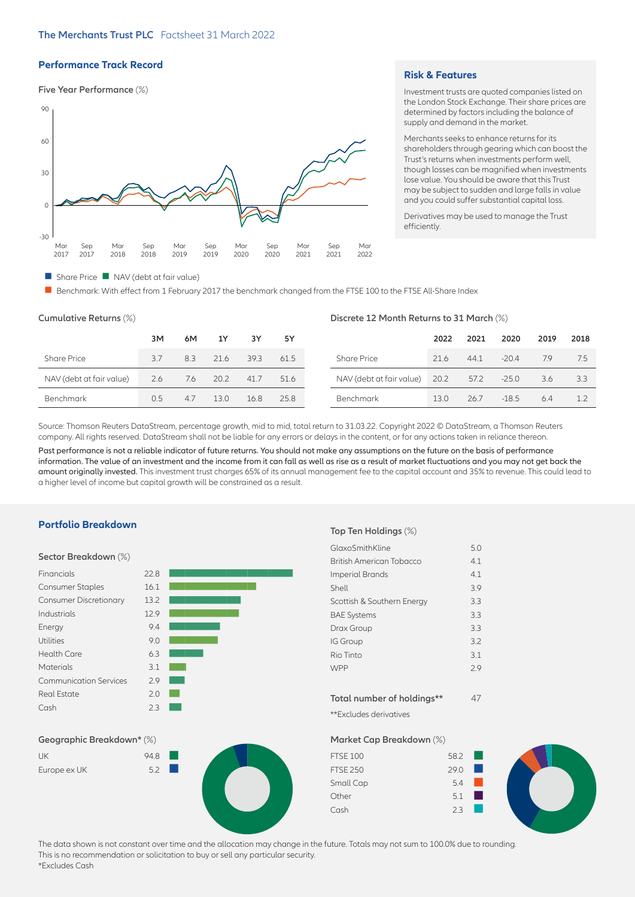# **Performance Track Record**

#### **Five Year Performance** (%)



#### **Risk & Features**

Investment trusts are quoted companies listed on the London Stock Exchange. Their share prices are determined by factors including the balance of supply and demand in the market.

Merchants seeks to enhance returns for its shareholders through gearing which can boost the Trust's returns when investments perform well, though losses can be magnified when investments lose value. You should be aware that this Trust may be subject to sudden and large falls in value and you could suffer substantial capital loss.

Derivatives may be used to manage the Trust efficiently.

#### $\blacksquare$  Share Price  $\blacksquare$  NAV (debt at fair value)

■ Benchmark: With effect from 1 February 2017 the benchmark changed from the FTSE 100 to the FTSE All-Share Index

| Cumulative Returns (%)   | Discrete 12 Month Returns to 31 March (%) |     |      |      |      |                          |      |      |         |      |      |
|--------------------------|-------------------------------------------|-----|------|------|------|--------------------------|------|------|---------|------|------|
|                          | 3M                                        | 6M  | 1Y   | 3Y   | 5Y   |                          | 2022 | 2021 | 2020    | 2019 | 2018 |
| <b>Share Price</b>       | 37                                        | 8.3 | 21.6 | 39.3 | 61.5 | <b>Share Price</b>       | 21.6 | 44.1 | $-20.4$ | 7.9  | 7.5  |
| NAV (debt at fair value) | 2.6                                       | 7.6 | 20.2 | 41.7 | 51.6 | NAV (debt at fair value) | 20.2 | 57.2 | $-25.0$ | 3.6  | 3.3  |
| Benchmark                | 0.5                                       | 4.7 | 13.0 | 16.8 | 25.8 | Benchmark                | 13.0 | 26.7 | $-18.5$ | 6.4  |      |

Source: Thomson Reuters DataStream, percentage growth, mid to mid, total return to 31.03.22. Copyright 2022 © DataStream, a Thomson Reuters company. All rights reserved. DataStream shall not be liable for any errors or delays in the content, or for any actions taken in reliance thereon.

Past performance is not a reliable indicator of future returns. You should not make any assumptions on the future on the basis of performance information. The value of an investment and the income from it can fall as well as rise as a result of market fluctuations and you may not get back the amount originally invested. This investment trust charges 65% of its annual management fee to the capital account and 35% to revenue. This could lead to a higher level of income but capital growth will be constrained as a result.

#### **Portfolio Breakdown**

#### **Sector Breakdown** (%)

| Financials                    | 22.8 |  |
|-------------------------------|------|--|
| <b>Consumer Staples</b>       | 16.1 |  |
| <b>Consumer Discretionary</b> | 13.2 |  |
| Industrials                   | 12.9 |  |
| Energy                        | 9.4  |  |
| <b>Utilities</b>              | 9.0  |  |
| <b>Health Care</b>            | 6.3  |  |
| <b>Materials</b>              | 3.1  |  |
| <b>Communication Services</b> | 2.9  |  |
| <b>Real Estate</b>            | 2.0  |  |
| Cash                          | 23   |  |
|                               |      |  |

#### **Geographic Breakdown\*** (%)

| UK           | 94.8 |  |
|--------------|------|--|
| Europe ex UK | 5.2  |  |



#### **Top Ten Holdings** (%)

| GlaxoSmithKline            | 5.0 |
|----------------------------|-----|
| British American Tobacco   | 4.1 |
| Imperial Brands            | 4.1 |
| Shell                      | 3.9 |
| Scottish & Southern Energy | 3.3 |
| <b>BAE Systems</b>         | 3.3 |
| Drax Group                 | 3.3 |
| <b>IG Group</b>            | 3.2 |
| Rio Tinto                  | 3.1 |
| <b>WPP</b>                 | 2.9 |
|                            |     |
| Total number of holdings** |     |

\*\*Excludes derivatives

# **Market Cap Breakdown** (%)

| <b>FTSE 100</b> | 58.2 |      |  |
|-----------------|------|------|--|
| <b>FTSE 250</b> | 29.0 |      |  |
| Small Cap       | 5.4  |      |  |
| Other           | 5.1  | a ka |  |
| Cash            | つく   |      |  |

The data shown is not constant over time and the allocation may change in the future. Totals may not sum to 100.0% due to rounding. This is no recommendation or solicitation to buy or sell any particular security. \*Excludes Cash